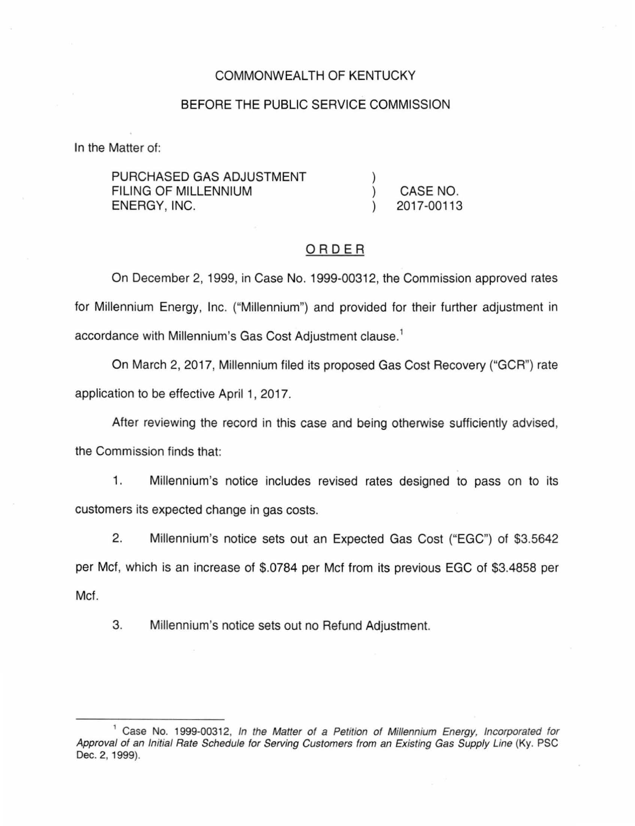### COMMONWEALTH OF KENTUCKY

### BEFORE THE PUBLIC SERVICE COMMISSION

In the Matter of:

| PURCHASED GAS ADJUSTMENT |            |
|--------------------------|------------|
| FILING OF MILLENNIUM     | CASE NO.   |
| ENERGY, INC.             | 2017-00113 |

# ORDER

On December 2, 1999, in Case No. 1999-00312, the Commission approved rates for Millennium Energy, Inc. ("Millennium") and provided for their further adjustment in accordance with Millennium's Gas Cost Adjustment clause. 1

On March 2, 2017, Millennium filed its proposed Gas Cost Recovery ("GCR") rate application to be effective April 1, 2017.

After reviewing the record in this case and being otherwise sufficiently advised, the Commission finds that:

1. Millennium's notice includes revised rates designed to pass on to its customers its expected change in gas costs.

2. Millennium's notice sets out an Expected Gas Cost ("EGC") of \$3.5642 per Mcf, which is an increase of \$.0784 per Met from its previous EGC of \$3.4858 per Met.

3. Millennium's notice sets out no Refund Adjustment.

<sup>&</sup>lt;sup>1</sup> Case No. 1999-00312, In the Matter of a Petition of Millennium Energy, Incorporated for Approval of an Initial Rate Schedule for Serving Customers from an Existing Gas Supply Line (Ky. PSC Dec. 2, 1999).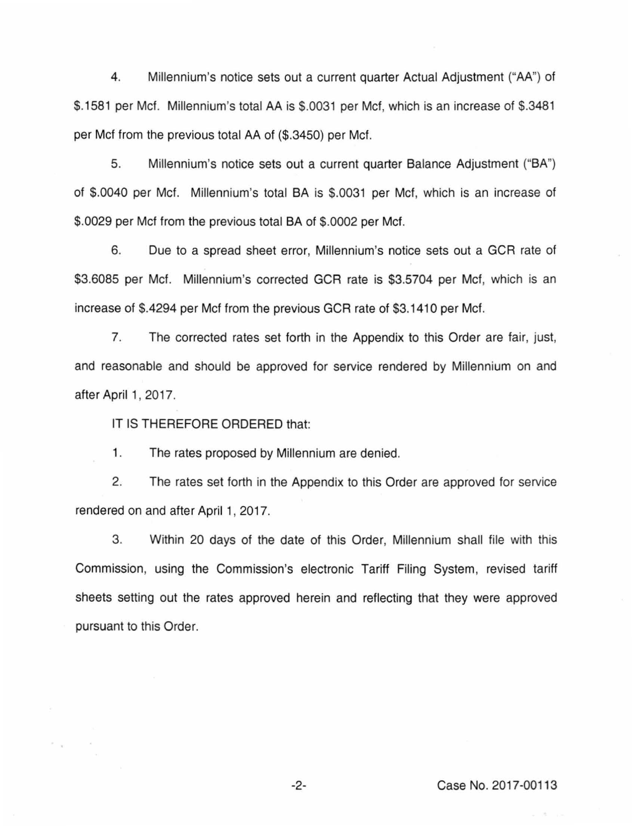4. Millennium's notice sets out a current quarter Actual Adjustment (''AA'') of \$.1581 per Mcf. Millennium's total AA is \$.0031 per Mcf, which is an increase of \$.3481 per Met from the previous total AA of (\$.3450) per Mcf.

5. Millennium's notice sets out a current quarter Balance Adjustment ("BA") of \$.0040 per Met. Millennium's total BA is \$.0031 per Met, which is an increase of \$.0029 per Mcf from the previous total BA of \$.0002 per Mcf.

6. Due to a spread sheet error, Millennium's notice sets out a GCR rate of \$3.6085 per Met. Millennium's corrected GCR rate is \$3.5704 per Met, which is an increase of \$.4294 per Met from the previous GCR rate of \$3.1410 per Met.

7. The corrected rates set forth in the Appendix to this Order are fair, just, and reasonable and should be approved for service rendered by Millennium on and after April 1, 2017.

IT IS THEREFORE ORDERED that:

 $\sim$ 

1. The rates proposed by Millennium are denied.

2. The rates set forth in the Appendix to this Order are approved for service rendered on and after April 1, 2017.

3. Within 20 days of the date of this Order, Millennium shall file with this Commission, using the Commission's electronic Tariff Filing System, revised tariff sheets setting out the rates approved herein and reflecting that they were approved pursuant to this Order.

-2- Case No. 2017-00113

 $\lambda_{\rm B}$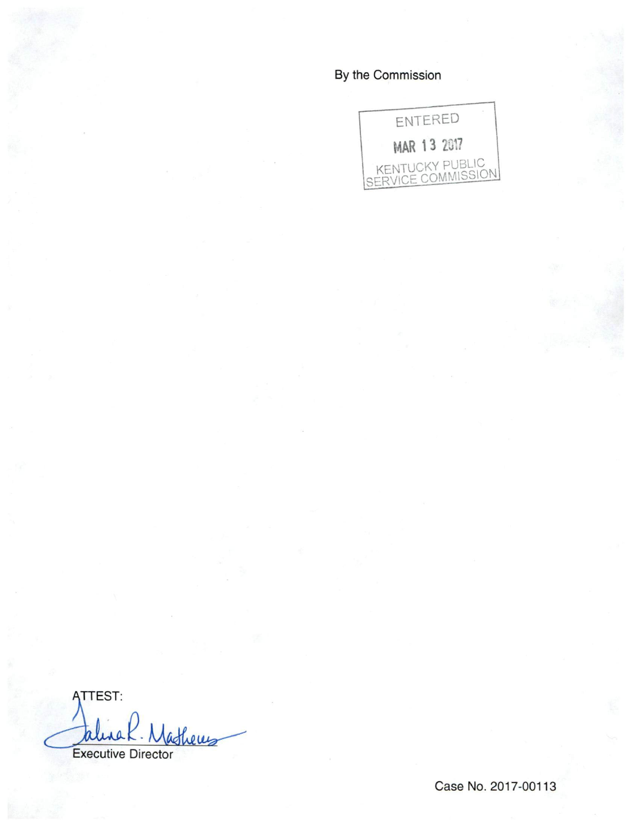# By the Commission



**ATTEST:** theres **Executive Director** 

Case No. 2017-00113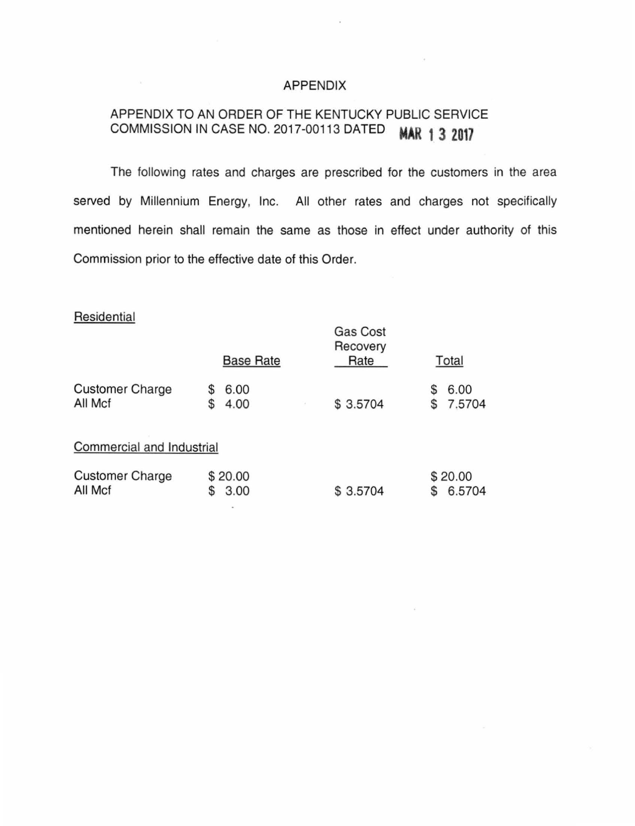#### APPENDIX

# APPENDIX TO AN ORDER OF THE KENTUCKY PUBLIC SERVICE COMMISSION IN CASE NO. 2017-00113 DATED **MAR 1 3 2017**

The following rates and charges are prescribed for the customers in the area served by Millennium Energy, Inc. All other rates and charges not specifically mentioned herein shall remain the same as those in effect under authority of this Commission prior to the effective date of this Order.

## **Residential**

 $\omega$ 

|                                   | <b>Base Rate</b>        | <b>Gas Cost</b><br>Recovery<br>Rate | Total               |
|-----------------------------------|-------------------------|-------------------------------------|---------------------|
|                                   |                         |                                     |                     |
| <b>Customer Charge</b><br>All Mcf | 6.00<br>S<br>4.00<br>\$ | \$3.5704                            | 6.00<br>S<br>7.5704 |
| Commercial and Industrial         |                         |                                     |                     |
| <b>Customer Charge</b><br>All Mcf | \$20.00<br>3.00         | \$3.5704                            | \$20.00<br>6.5704   |